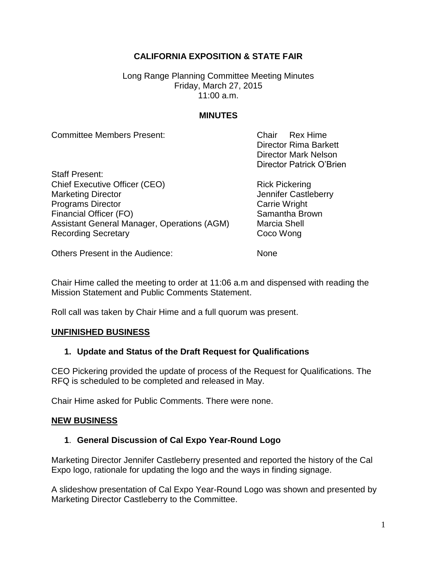# **CALIFORNIA EXPOSITION & STATE FAIR**

Long Range Planning Committee Meeting Minutes Friday, March 27, 2015 11:00 a.m.

### **MINUTES**

| <b>Committee Members Present:</b>           | Chair Rex Hime               |
|---------------------------------------------|------------------------------|
|                                             | <b>Director Rima Barkett</b> |
|                                             | <b>Director Mark Nelson</b>  |
|                                             | Director Patrick O'Brien     |
| <b>Staff Present:</b>                       |                              |
| <b>Chief Executive Officer (CEO)</b>        | <b>Rick Pickering</b>        |
| <b>Marketing Director</b>                   | Jennifer Castleberry         |
| <b>Programs Director</b>                    | <b>Carrie Wright</b>         |
| <b>Financial Officer (FO)</b>               | Samantha Brown               |
| Assistant General Manager, Operations (AGM) | <b>Marcia Shell</b>          |
| <b>Recording Secretary</b>                  | Coco Wong                    |

Others Present in the Audience: None

Chair Hime called the meeting to order at 11:06 a.m and dispensed with reading the Mission Statement and Public Comments Statement.

Roll call was taken by Chair Hime and a full quorum was present.

#### **UNFINISHED BUSINESS**

## **1. Update and Status of the Draft Request for Qualifications**

CEO Pickering provided the update of process of the Request for Qualifications. The RFQ is scheduled to be completed and released in May.

Chair Hime asked for Public Comments. There were none.

#### **NEW BUSINESS**

## **1**. **General Discussion of Cal Expo Year-Round Logo**

Marketing Director Jennifer Castleberry presented and reported the history of the Cal Expo logo, rationale for updating the logo and the ways in finding signage.

A slideshow presentation of Cal Expo Year-Round Logo was shown and presented by Marketing Director Castleberry to the Committee.